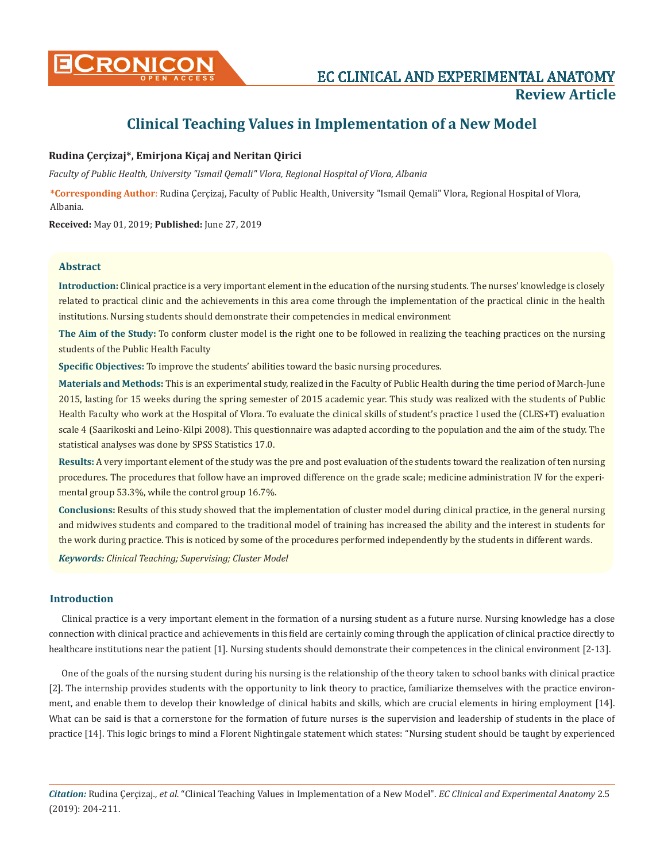

# **Clinical Teaching Values in Implementation of a New Model**

# **Rudina Çerçizaj\*, Emirjona Kiçaj and Neritan Qirici**

*Faculty of Public Health, University "Ismail Qemali" Vlora, Regional Hospital of Vlora, Albania*

**\*Corresponding Author**: Rudina Çerçizaj, Faculty of Public Health, University "Ismail Qemali" Vlora, Regional Hospital of Vlora, Albania.

**Received:** May 01, 2019; **Published:** June 27, 2019

## **Abstract**

**Introduction:** Clinical practice is a very important element in the education of the nursing students. The nurses' knowledge is closely related to practical clinic and the achievements in this area come through the implementation of the practical clinic in the health institutions. Nursing students should demonstrate their competencies in medical environment

**The Aim of the Study:** To conform cluster model is the right one to be followed in realizing the teaching practices on the nursing students of the Public Health Faculty

**Specific Objectives:** To improve the students' abilities toward the basic nursing procedures.

**Materials and Methods:** This is an experimental study, realized in the Faculty of Public Health during the time period of March-June 2015, lasting for 15 weeks during the spring semester of 2015 academic year. This study was realized with the students of Public Health Faculty who work at the Hospital of Vlora. To evaluate the clinical skills of student's practice I used the (CLES+T) evaluation scale 4 (Saarikoski and Leino-Kilpi 2008). This questionnaire was adapted according to the population and the aim of the study. The statistical analyses was done by SPSS Statistics 17.0.

**Results:** A very important element of the study was the pre and post evaluation of the students toward the realization of ten nursing procedures. The procedures that follow have an improved difference on the grade scale; medicine administration IV for the experimental group 53.3%, while the control group 16.7%.

**Conclusions:** Results of this study showed that the implementation of cluster model during clinical practice, in the general nursing and midwives students and compared to the traditional model of training has increased the ability and the interest in students for the work during practice. This is noticed by some of the procedures performed independently by the students in different wards.

*Keywords: Clinical Teaching; Supervising; Cluster Model*

#### **Introduction**

Clinical practice is a very important element in the formation of a nursing student as a future nurse. Nursing knowledge has a close connection with clinical practice and achievements in this field are certainly coming through the application of clinical practice directly to healthcare institutions near the patient [1]. Nursing students should demonstrate their competences in the clinical environment [2-13].

One of the goals of the nursing student during his nursing is the relationship of the theory taken to school banks with clinical practice [2]. The internship provides students with the opportunity to link theory to practice, familiarize themselves with the practice environment, and enable them to develop their knowledge of clinical habits and skills, which are crucial elements in hiring employment [14]. What can be said is that a cornerstone for the formation of future nurses is the supervision and leadership of students in the place of practice [14]. This logic brings to mind a Florent Nightingale statement which states: "Nursing student should be taught by experienced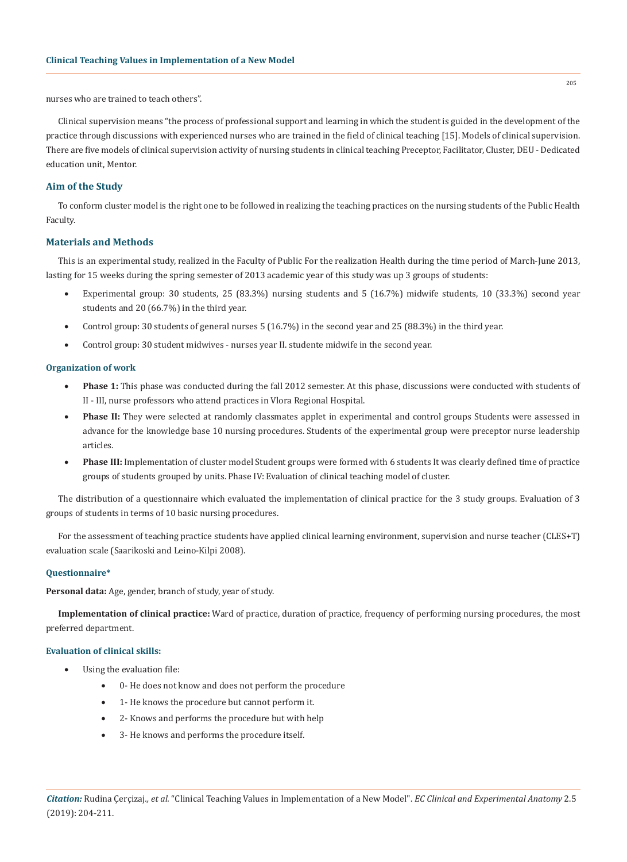nurses who are trained to teach others".

Clinical supervision means "the process of professional support and learning in which the student is guided in the development of the practice through discussions with experienced nurses who are trained in the field of clinical teaching [15]. Models of clinical supervision. There are five models of clinical supervision activity of nursing students in clinical teaching Preceptor, Facilitator, Cluster, DEU - Dedicated education unit, Mentor.

# **Aim of the Study**

To conform cluster model is the right one to be followed in realizing the teaching practices on the nursing students of the Public Health Faculty.

# **Materials and Methods**

This is an experimental study, realized in the Faculty of Public For the realization Health during the time period of March-June 2013, lasting for 15 weeks during the spring semester of 2013 academic year of this study was up 3 groups of students:

- Experimental group: 30 students, 25 (83.3%) nursing students and 5 (16.7%) midwife students, 10 (33.3%) second year students and 20 (66.7%) in the third year.
- Control group: 30 students of general nurses 5 (16.7%) in the second year and 25 (88.3%) in the third year.
- Control group: 30 student midwives nurses year II. studente midwife in the second year.

#### **Organization of work**

- • **Phase 1:** This phase was conducted during the fall 2012 semester. At this phase, discussions were conducted with students of II - III, nurse professors who attend practices in Vlora Regional Hospital.
- **Phase II:** They were selected at randomly classmates applet in experimental and control groups Students were assessed in advance for the knowledge base 10 nursing procedures. Students of the experimental group were preceptor nurse leadership articles.
- Phase III: Implementation of cluster model Student groups were formed with 6 students It was clearly defined time of practice groups of students grouped by units. Phase IV: Evaluation of clinical teaching model of cluster.

The distribution of a questionnaire which evaluated the implementation of clinical practice for the 3 study groups. Evaluation of 3 groups of students in terms of 10 basic nursing procedures.

For the assessment of teaching practice students have applied clinical learning environment, supervision and nurse teacher (CLES+T) evaluation scale (Saarikoski and Leino-Kilpi 2008).

#### **Questionnaire\***

**Personal data:** Age, gender, branch of study, year of study.

**Implementation of clinical practice:** Ward of practice, duration of practice, frequency of performing nursing procedures, the most preferred department.

#### **Evaluation of clinical skills:**

- Using the evaluation file:
	- 0- He does not know and does not perform the procedure
	- 1- He knows the procedure but cannot perform it.
	- 2- Knows and performs the procedure but with help
	- 3- He knows and performs the procedure itself.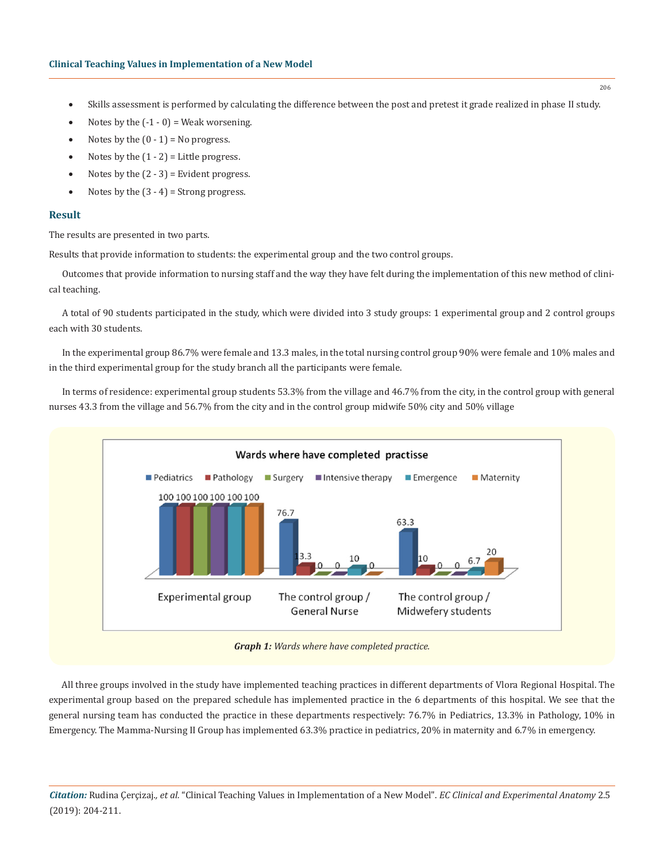- • Skills assessment is performed by calculating the difference between the post and pretest it grade realized in phase II study.
- Notes by the  $(-1 0)$  = Weak worsening.
- Notes by the  $(0 1) = No$  progress.
- Notes by the  $(1 2)$  = Little progress.
- Notes by the  $(2 3)$  = Evident progress.
- Notes by the  $(3 4)$  = Strong progress.

## **Result**

The results are presented in two parts.

Results that provide information to students: the experimental group and the two control groups.

Outcomes that provide information to nursing staff and the way they have felt during the implementation of this new method of clinical teaching.

A total of 90 students participated in the study, which were divided into 3 study groups: 1 experimental group and 2 control groups each with 30 students.

In the experimental group 86.7% were female and 13.3 males, in the total nursing control group 90% were female and 10% males and in the third experimental group for the study branch all the participants were female.

In terms of residence: experimental group students 53.3% from the village and 46.7% from the city, in the control group with general nurses 43.3 from the village and 56.7% from the city and in the control group midwife 50% city and 50% village



*Graph 1: Wards where have completed practice.*

All three groups involved in the study have implemented teaching practices in different departments of Vlora Regional Hospital. The experimental group based on the prepared schedule has implemented practice in the 6 departments of this hospital. We see that the general nursing team has conducted the practice in these departments respectively: 76.7% in Pediatrics, 13.3% in Pathology, 10% in Emergency. The Mamma-Nursing II Group has implemented 63.3% practice in pediatrics, 20% in maternity and 6.7% in emergency.

*Citation:* Rudina Çerçizaj*., et al.* "Clinical Teaching Values in Implementation of a New Model". *EC Clinical and Experimental Anatomy* 2.5 (2019): 204-211.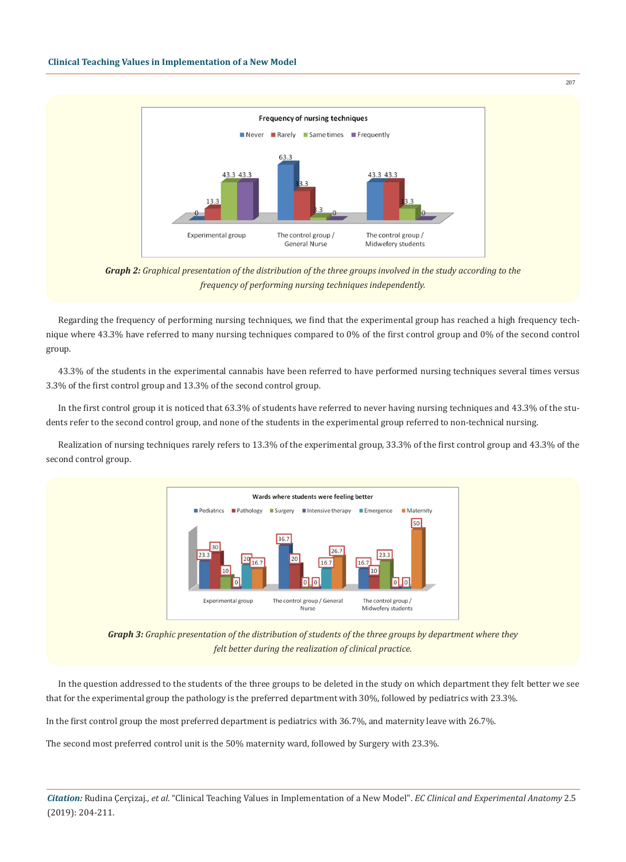

*Graph 2: Graphical presentation of the distribution of the three groups involved in the study according to the frequency of performing nursing techniques independently.*

Regarding the frequency of performing nursing techniques, we find that the experimental group has reached a high frequency technique where 43.3% have referred to many nursing techniques compared to 0% of the first control group and 0% of the second control group.

43.3% of the students in the experimental cannabis have been referred to have performed nursing techniques several times versus 3.3% of the first control group and 13.3% of the second control group.

In the first control group it is noticed that 63.3% of students have referred to never having nursing techniques and 43.3% of the students refer to the second control group, and none of the students in the experimental group referred to non-technical nursing.

Realization of nursing techniques rarely refers to 13.3% of the experimental group, 33.3% of the first control group and 43.3% of the second control group.



*Graph 3: Graphic presentation of the distribution of students of the three groups by department where they felt better during the realization of clinical practice.*

In the question addressed to the students of the three groups to be deleted in the study on which department they felt better we see that for the experimental group the pathology is the preferred department with 30%, followed by pediatrics with 23.3%.

In the first control group the most preferred department is pediatrics with 36.7%, and maternity leave with 26.7%.

The second most preferred control unit is the 50% maternity ward, followed by Surgery with 23.3%.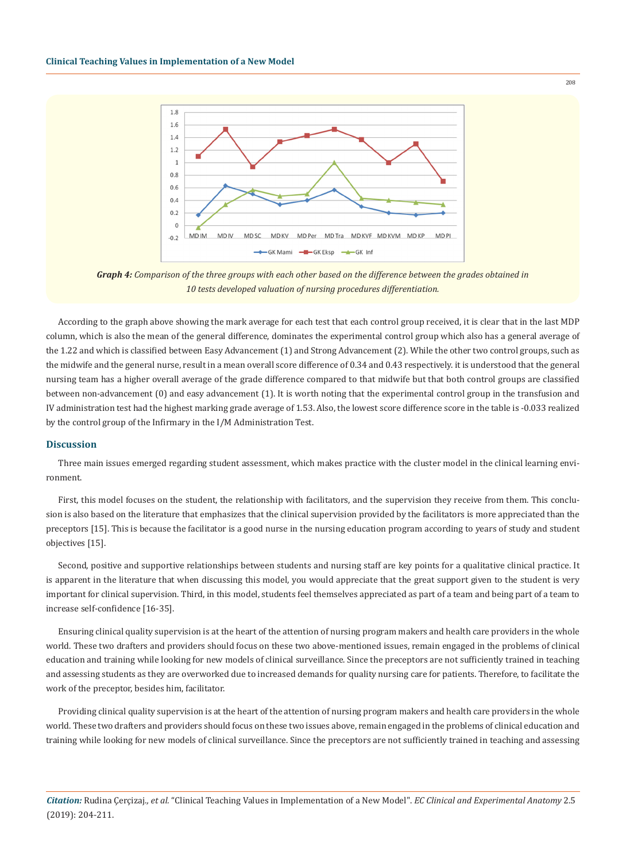

*Graph 4: Comparison of the three groups with each other based on the difference between the grades obtained in 10 tests developed valuation of nursing procedures differentiation.*

According to the graph above showing the mark average for each test that each control group received, it is clear that in the last MDP column, which is also the mean of the general difference, dominates the experimental control group which also has a general average of the 1.22 and which is classified between Easy Advancement (1) and Strong Advancement (2). While the other two control groups, such as the midwife and the general nurse, result in a mean overall score difference of 0.34 and 0.43 respectively. it is understood that the general nursing team has a higher overall average of the grade difference compared to that midwife but that both control groups are classified between non-advancement (0) and easy advancement (1). It is worth noting that the experimental control group in the transfusion and IV administration test had the highest marking grade average of 1.53. Also, the lowest score difference score in the table is -0.033 realized by the control group of the Infirmary in the I/M Administration Test.

#### **Discussion**

Three main issues emerged regarding student assessment, which makes practice with the cluster model in the clinical learning environment.

First, this model focuses on the student, the relationship with facilitators, and the supervision they receive from them. This conclusion is also based on the literature that emphasizes that the clinical supervision provided by the facilitators is more appreciated than the preceptors [15]. This is because the facilitator is a good nurse in the nursing education program according to years of study and student objectives [15].

Second, positive and supportive relationships between students and nursing staff are key points for a qualitative clinical practice. It is apparent in the literature that when discussing this model, you would appreciate that the great support given to the student is very important for clinical supervision. Third, in this model, students feel themselves appreciated as part of a team and being part of a team to increase self-confidence [16-35].

Ensuring clinical quality supervision is at the heart of the attention of nursing program makers and health care providers in the whole world. These two drafters and providers should focus on these two above-mentioned issues, remain engaged in the problems of clinical education and training while looking for new models of clinical surveillance. Since the preceptors are not sufficiently trained in teaching and assessing students as they are overworked due to increased demands for quality nursing care for patients. Therefore, to facilitate the work of the preceptor, besides him, facilitator.

Providing clinical quality supervision is at the heart of the attention of nursing program makers and health care providers in the whole world. These two drafters and providers should focus on these two issues above, remain engaged in the problems of clinical education and training while looking for new models of clinical surveillance. Since the preceptors are not sufficiently trained in teaching and assessing

*Citation:* Rudina Çerçizaj*., et al.* "Clinical Teaching Values in Implementation of a New Model". *EC Clinical and Experimental Anatomy* 2.5 (2019): 204-211.

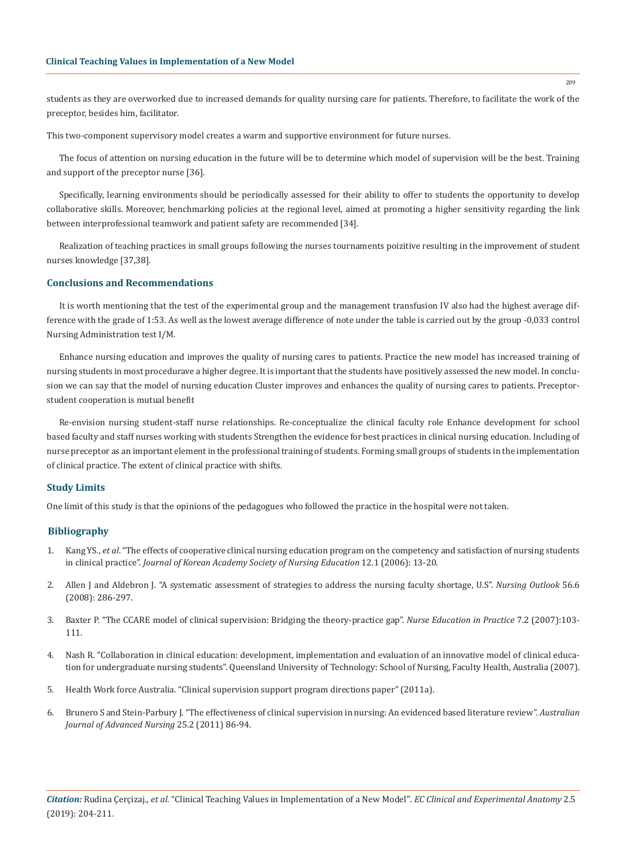students as they are overworked due to increased demands for quality nursing care for patients. Therefore, to facilitate the work of the preceptor, besides him, facilitator.

This two-component supervisory model creates a warm and supportive environment for future nurses.

The focus of attention on nursing education in the future will be to determine which model of supervision will be the best. Training and support of the preceptor nurse [36].

Specifically, learning environments should be periodically assessed for their ability to offer to students the opportunity to develop collaborative skills. Moreover, benchmarking policies at the regional level, aimed at promoting a higher sensitivity regarding the link between interprofessional teamwork and patient safety are recommended [34].

Realization of teaching practices in small groups following the nurses tournaments poizitive resulting in the improvement of student nurses knowledge [37,38].

# **Conclusions and Recommendations**

It is worth mentioning that the test of the experimental group and the management transfusion IV also had the highest average difference with the grade of 1:53. As well as the lowest average difference of note under the table is carried out by the group -0,033 control Nursing Administration test I/M.

Enhance nursing education and improves the quality of nursing cares to patients. Practice the new model has increased training of nursing students in most procedurave a higher degree. It is important that the students have positively assessed the new model. In conclusion we can say that the model of nursing education Cluster improves and enhances the quality of nursing cares to patients. Preceptorstudent cooperation is mutual benefit

Re-envision nursing student-staff nurse relationships. Re-conceptualize the clinical faculty role Enhance development for school based faculty and staff nurses working with students Strengthen the evidence for best practices in clinical nursing education. Including of nurse preceptor as an important element in the professional training of students. Forming small groups of students in the implementation of clinical practice. The extent of clinical practice with shifts.

## **Study Limits**

One limit of this study is that the opinions of the pedagogues who followed the practice in the hospital were not taken.

## **Bibliography**

- 1. Kang YS., *et al*. "The effects of cooperative clinical nursing education program on the competency and satisfaction of nursing students in clinical practice". *Journal of Korean Academy Society of Nursing Education* 12.1 (2006): 13-20.
- 2. [Allen J and Aldebron J. "A systematic assessment of strategies to address the nursing faculty shortage, U.S".](https://www.nursingoutlook.org/article/S0029-6554(08)00266-2/abstract) *Nursing Outlook* 56.6 [\(2008\): 286-297.](https://www.nursingoutlook.org/article/S0029-6554(08)00266-2/abstract)
- 3. [Baxter P. "The CCARE model of clinical supervision: Bridging the theory-practice gap".](https://www.ncbi.nlm.nih.gov/pubmed/17689431) *Nurse Education in Practice* 7.2 (2007):103- [111.](https://www.ncbi.nlm.nih.gov/pubmed/17689431)
- 4. [Nash R. "Collaboration in clinical education: development, implementation and evaluation of an innovative model of clinical educa](http://eprints.qut.edu.au/16493/1/Robyn_Nash_Thesis.pdf)[tion for undergraduate nursing students". Queensland University of Technology: School of Nursing, Faculty Health, Australia \(2007\).](http://eprints.qut.edu.au/16493/1/Robyn_Nash_Thesis.pdf)
- 5. Health Work force Australia. "Clinical supervision support program directions paper" (2011a).
- 6. [Brunero S and Stein-Parbury J. "The effectiveness of clinical supervision in nursing: An evidenced based literature review".](https://www.researchgate.net/publication/230802446_The_effectiveness_of_clinical_supervision_in_nursing_An_evidence-based_literature_review) *Australian [Journal of Advanced Nursing](https://www.researchgate.net/publication/230802446_The_effectiveness_of_clinical_supervision_in_nursing_An_evidence-based_literature_review)* 25.2 (2011) 86-94.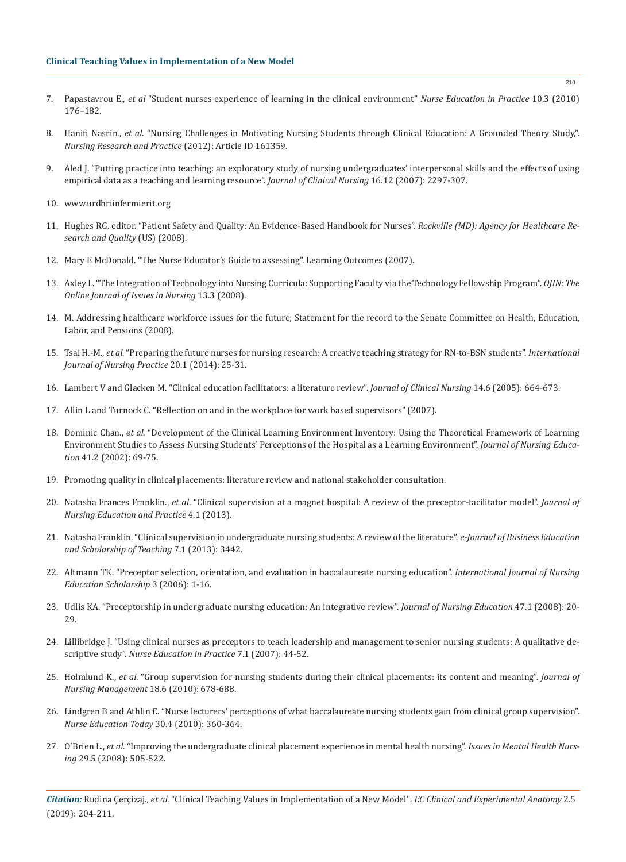- 7. Papastavrou E., *et al* ["Student nurses experience of learning in the clinical environment"](https://www.ncbi.nlm.nih.gov/pubmed/19700368) *Nurse Education in Practice* 10.3 (2010) [176–182.](https://www.ncbi.nlm.nih.gov/pubmed/19700368)
- 8. Hanifi Nasrin., *et al*[. "Nursing Challenges in Motivating Nursing Students through Clinical Education: A Grounded Theory Study,".](https://www.hindawi.com/journals/nrp/2012/161359/) *[Nursing Research and Practice](https://www.hindawi.com/journals/nrp/2012/161359/)* (2012): Article ID 161359.
- 9. [Aled J. "Putting practice into teaching: an exploratory study of nursing undergraduates' interpersonal skills and the effects of using](https://www.ncbi.nlm.nih.gov/pubmed/18036120)  [empirical data as a teaching and learning resource".](https://www.ncbi.nlm.nih.gov/pubmed/18036120) *Journal of Clinical Nursing* 16.12 (2007): 2297-307.
- 10. [www.urdhriinfermierit.org](http://www.urdhriinfermierit.org)
- 11. [Hughes RG. editor. "Patient Safety and Quality: An Evidence-Based Handbook for Nurses".](https://www.ncbi.nlm.nih.gov/pubmed/21328752) *Rockville (MD): Agency for Healthcare Re[search and Quality](https://www.ncbi.nlm.nih.gov/pubmed/21328752)* (US) (2008).
- 12. Mary E McDonald. "The Nurse Educator's Guide to assessing". Learning Outcomes (2007).
- 13. [Axley L. "The Integration of Technology into Nursing Curricula: Supporting Faculty via the Technology Fellowship Program".](http://ojin.nursingworld.org/MainMenuCategories/ANAMarketplace/ANAPeriodicals/OJIN/TableofContents/vol132008/No3Sept08/ArticlePreviousTopic/IntegrationofTechnology.html) *OJIN: The [Online Journal of Issues in Nursing](http://ojin.nursingworld.org/MainMenuCategories/ANAMarketplace/ANAPeriodicals/OJIN/TableofContents/vol132008/No3Sept08/ArticlePreviousTopic/IntegrationofTechnology.html)* 13.3 (2008).
- 14. [M. Addressing healthcare workforce issues for the future; Statement for the record to the Senate Committee on Health, Education,](https://www.govinfo.gov/content/pkg/CHRG-110shrg40835/html/CHRG-110shrg40835.htm) [Labor, and Pensions \(2008\).](https://www.govinfo.gov/content/pkg/CHRG-110shrg40835/html/CHRG-110shrg40835.htm)
- 15. Tsai H.-M., *et al*[. "Preparing the future nurses for nursing research: A creative teaching strategy for RN-to-BSN students".](https://www.ncbi.nlm.nih.gov/pubmed/24580972) *International [Journal of Nursing Practice](https://www.ncbi.nlm.nih.gov/pubmed/24580972)* 20.1 (2014): 25-31.
- 16. [Lambert V and Glacken M. "Clinical education facilitators: a literature review".](https://www.ncbi.nlm.nih.gov/pubmed/15946274) *Journal of Clinical Nursing* 14.6 (2005): 664-673.
- 17. [Allin L and Turnock C. "Reflection on and in the workplace for work based supervisors" \(2007\).](https://www.nottingham.ac.uk/nmp/sonet/rlos/placs/critical_reflection/pdf/allin_turnock_extract.pdf)
- 18. Dominic Chan., *et al*[. "Development of the Clinical Learning Environment Inventory: Using the Theoretical Framework of Learning](https://www.ncbi.nlm.nih.gov/pubmed/11852986)  [Environment Studies to Assess Nursing Students' Perceptions of the Hospital as a Learning Environment".](https://www.ncbi.nlm.nih.gov/pubmed/11852986) *Journal of Nursing Education* [41.2 \(2002\): 69-75.](https://www.ncbi.nlm.nih.gov/pubmed/11852986)
- 19. [Promoting quality in clinical placements: literature review and national stakeholder consultation.](https://www.adea.com.au/wp-content/uploads/2013/08/Promoting-quality-in-clinical-placements-report-20130408.pdf)
- 20. Natasha Frances Franklin., *et al*[. "Clinical supervision at a magnet hospital: A review of the preceptor-facilitator model".](http://www.sciedu.ca/journal/index.php/jnep/article/view/2600) *Journal of [Nursing Education and Practice](http://www.sciedu.ca/journal/index.php/jnep/article/view/2600)* 4.1 (2013).
- 21. [Natasha Franklin. "Clinical supervision in undergraduate nursing students: A review of the literature".](https://files.eric.ed.gov/fulltext/EJ1167345.pdf) *e-Journal of Business Education [and Scholarship of Teaching](https://files.eric.ed.gov/fulltext/EJ1167345.pdf)* 7.1 (2013): 3442.
- 22. [Altmann TK. "Preceptor selection, orientation, and evaluation in baccalaureate nursing education".](https://www.ncbi.nlm.nih.gov/pubmed/16646936) *International Journal of Nursing [Education Scholarship](https://www.ncbi.nlm.nih.gov/pubmed/16646936)* 3 (2006): 1-16.
- 23. [Udlis KA. "Preceptorship in undergraduate nursing education: An integrative review".](https://www.ncbi.nlm.nih.gov/pubmed/18232611) *Journal of Nursing Education* 47.1 (2008): 20- [29.](https://www.ncbi.nlm.nih.gov/pubmed/18232611)
- 24. [Lillibridge J. "Using clinical nurses as preceptors to teach leadership and management to senior nursing students: A qualitative de](https://www.ncbi.nlm.nih.gov/pubmed/17689423)scriptive study". *[Nurse Education in Practice](https://www.ncbi.nlm.nih.gov/pubmed/17689423)* 7.1 (2007): 44-52.
- 25. Holmlund K., *et al*[. "Group supervision for nursing students during their clinical placements: its content and meaning".](https://www.ncbi.nlm.nih.gov/pubmed/20840362) *Journal of [Nursing Management](https://www.ncbi.nlm.nih.gov/pubmed/20840362)* 18.6 (2010): 678-688.
- 26. [Lindgren B and Athlin E. "Nurse lecturers' perceptions of what baccalaureate nursing students gain from clinical group supervision".](https://www.ncbi.nlm.nih.gov/pubmed/19818540)  *[Nurse Education Today](https://www.ncbi.nlm.nih.gov/pubmed/19818540)* 30.4 (2010): 360-364.
- 27. O'Brien L., *et al*[. "Improving the undergraduate clinical placement experience in mental health nursing".](https://www.ncbi.nlm.nih.gov/pubmed/18437609) *Issues in Mental Health Nursing* [29.5 \(2008\): 505-522.](https://www.ncbi.nlm.nih.gov/pubmed/18437609)

*Citation:* Rudina Çerçizaj*., et al.* "Clinical Teaching Values in Implementation of a New Model". *EC Clinical and Experimental Anatomy* 2.5 (2019): 204-211.